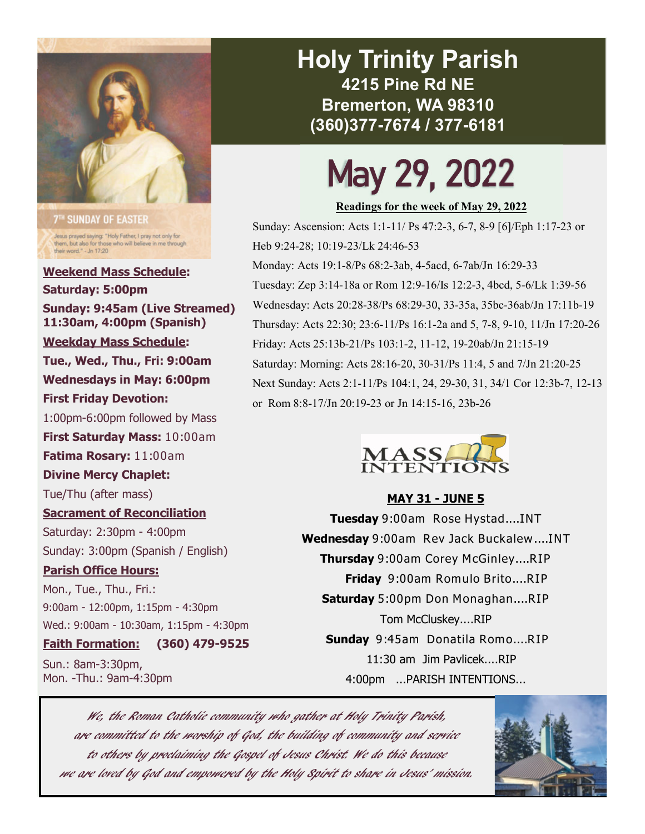

**7<sup>TH</sup> SUNDAY OF EASTER** Jesus prayed saying: "Holy Father, I pray not only for<br>them, but also for those who will believe in me through<br>their word." - Jn 17:20

**Weekend Mass Schedule: Saturday: 5:00pm Sunday: 9:45am (Live Streamed) 11:30am, 4:00pm (Spanish) Weekday Mass Schedule: Tue., Wed., Thu., Fri: 9:00am Wednesdays in May: 6:00pm First Friday Devotion:**  1:00pm-6:00pm followed by Mass **First Saturday Mass:** 10:00am **Fatima Rosary:** 11:00am **Divine Mercy Chaplet:**  Tue/Thu (after mass) **Sacrament of Reconciliation**  Saturday: 2:30pm - 4:00pm Sunday: 3:00pm (Spanish / English) **Parish Office Hours:**  Mon., Tue., Thu., Fri.: 9:00am - 12:00pm, 1:15pm - 4:30pm Wed.: 9:00am - 10:30am, 1:15pm - 4:30pm

#### **Faith Formation: (360) 479-9525**

Sun.: 8am-3:30pm, Mon. -Thu.: 9am-4:30pm

## **Holy Trinity Parish 4215 Pine Rd NE Bremerton, WA 98310 (360)377-7674 / 377-6181**

# May 29, 2022

**Readings for the week of May 29, 2022** 

Sunday: Ascension: Acts 1:1-11/ Ps 47:2-3, 6-7, 8-9 [6]/Eph 1:17-23 or Heb 9:24-28; 10:19-23/Lk 24:46-53

Monday: Acts 19:1-8/Ps 68:2-3ab, 4-5acd, 6-7ab/Jn 16:29-33 Tuesday: Zep 3:14-18a or Rom 12:9-16/Is 12:2-3, 4bcd, 5-6/Lk 1:39-56 Wednesday: Acts 20:28-38/Ps 68:29-30, 33-35a, 35bc-36ab/Jn 17:11b-19 Thursday: Acts 22:30; 23:6-11/Ps 16:1-2a and 5, 7-8, 9-10, 11/Jn 17:20-26 Friday: Acts 25:13b-21/Ps 103:1-2, 11-12, 19-20ab/Jn 21:15-19 Saturday: Morning: Acts 28:16-20, 30-31/Ps 11:4, 5 and 7/Jn 21:20-25 Next Sunday: Acts 2:1-11/Ps 104:1, 24, 29-30, 31, 34/1 Cor 12:3b-7, 12-13 or Rom 8:8-17/Jn 20:19-23 or Jn 14:15-16, 23b-26



#### **MAY 31 - JUNE 5**

**Tuesday** 9:00am Rose Hystad....INT **Wednesday** 9:00am Rev Jack Buckalew....INT **Thursday** 9:00am Corey McGinley....RIP **Friday** 9:00am Romulo Brito....RIP **Saturday** 5:00pm Don Monaghan....RIP Tom McCluskey....RIP **Sunday** 9:45am Donatila Romo....RIP 11:30 am Jim Pavlicek....RIP 4:00pm ...PARISH INTENTIONS...

We, the Roman Catholic community who gather at Holy Trinity Parish, are committed to the worship of God, the building of community and service to others by proclaiming the Gospel of Jesus Christ. We do this because we are loved by God and empowered by the Holy Spirit to share in Jesus' mission.

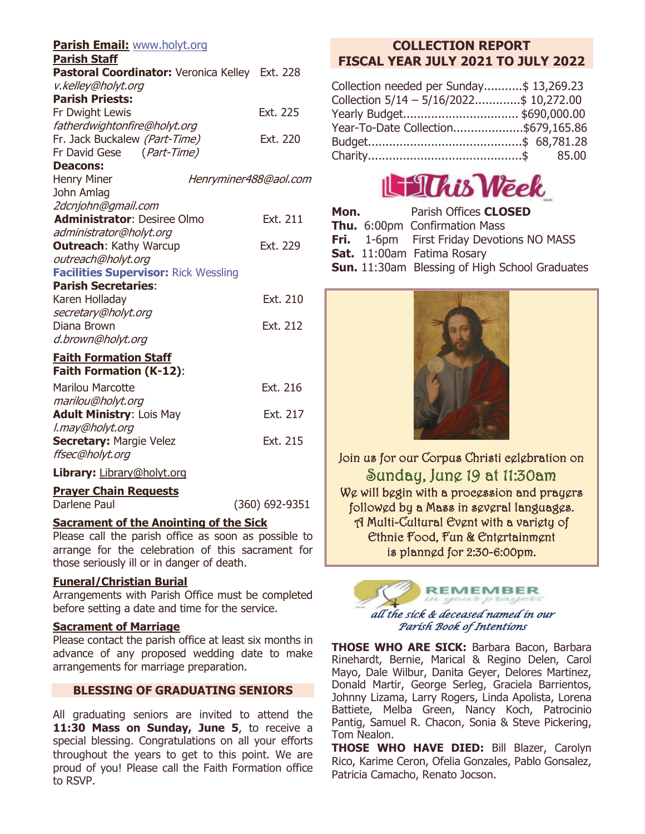| <b>Parish Email: www.holyt.org</b><br><b>Parish Staff</b> |                       |
|-----------------------------------------------------------|-----------------------|
| Pastoral Coordinator: Veronica Kelley Ext. 228            |                       |
| v.kelley@holyt.org                                        |                       |
| <b>Parish Priests:</b>                                    |                       |
| Fr Dwight Lewis                                           | Ext. 225              |
| fatherdwightonfire@holyt.org                              |                       |
| Fr. Jack Buckalew (Part-Time)                             | Ext. 220              |
| Fr David Gese (Part-Time)                                 |                       |
| <b>Deacons:</b>                                           |                       |
| <b>Henry Miner</b>                                        | Henryminer488@aol.com |
| John Amlag                                                |                       |
| 2dcnjohn@gmail.com                                        |                       |
| <b>Administrator: Desiree Olmo</b>                        | Ext. 211              |
| administrator@holyt.org                                   |                       |
| <b>Outreach: Kathy Warcup</b>                             | Ext. 229              |
| outreach@holyt.org                                        |                       |
| <b>Facilities Supervisor: Rick Wessling</b>               |                       |
| <b>Parish Secretaries:</b>                                |                       |
| Karen Holladay                                            | Ext. 210              |
| secretary@holyt.org                                       |                       |
| Diana Brown                                               | Ext. 212              |
| d.brown@holyt.org                                         |                       |
| <b>Faith Formation Staff</b>                              |                       |
| <b>Faith Formation (K-12):</b>                            |                       |
| <b>Marilou Marcotte</b>                                   | Ext. 216              |
| marilou@holyt.org                                         |                       |
| <b>Adult Ministry: Lois May</b>                           | Ext. 217              |
| l.may@holyt.org                                           |                       |
| <b>Secretary: Margie Velez</b>                            | Ext. 215              |
| ffsec@holyt.org                                           |                       |
| Library: Library@holyt.org                                |                       |
| <b>Prayer Chain Requests</b>                              |                       |
| Darlene Paul                                              | (360) 692-9351        |
| <b>Sacrament of the Anointing of the Sick</b>             |                       |

Please call the parish office as soon as possible to arrange for the celebration of this sacrament for those seriously ill or in danger of death.

#### **Funeral/Christian Burial**

Arrangements with Parish Office must be completed before setting a date and time for the service.

#### **Sacrament of Marriage**

Please contact the parish office at least six months in advance of any proposed wedding date to make arrangements for marriage preparation.

#### **BLESSING OF GRADUATING SENIORS**

All graduating seniors are invited to attend the 11:30 Mass on Sunday, June 5, to receive a special blessing. Congratulations on all your efforts throughout the years to get to this point. We are proud of you! Please call the Faith Formation office to RSVP.

### **COLLECTION REPORT FISCAL YEAR JULY 2021 TO JULY 2022**

| Collection needed per Sunday\$ 13,269.23 |
|------------------------------------------|
| Collection 5/14 - 5/16/2022\$ 10,272.00  |
| Yearly Budget \$690,000.00               |
| Year-To-Date Collection\$679,165.86      |
|                                          |
|                                          |
|                                          |



| Mon. | Parish Offices <b>CLOSED</b>                          |
|------|-------------------------------------------------------|
|      | <b>Thu.</b> 6:00pm Confirmation Mass                  |
|      | <b>Fri.</b> 1-6pm First Friday Devotions NO MASS      |
|      | Sat. 11:00am Fatima Rosary                            |
|      | <b>Sun.</b> 11:30am Blessing of High School Graduates |



Join us for our Corpus Christi celebration on Sunday, June 19 at 11:30am We will begin with a procession and prayers followed by a Mass in several languages. A Multi-Cultural Event with a variety of Ethnic Food, Fun & Entertainment is planned for 2:30-6:00pm.



*Parish Book of Intentions* 

**THOSE WHO ARE SICK:** Barbara Bacon, Barbara Rinehardt, Bernie, Marical & Regino Delen, Carol Mayo, Dale Wilbur, Danita Geyer, Delores Martinez, Donald Martir, George Serleg, Graciela Barrientos, Johnny Lizama, Larry Rogers, Linda Apolista, Lorena Battiete, Melba Green, Nancy Koch, Patrocinio Pantig, Samuel R. Chacon, Sonia & Steve Pickering, Tom Nealon.

**THOSE WHO HAVE DIED:** Bill Blazer, Carolyn Rico, Karime Ceron, Ofelia Gonzales, Pablo Gonsalez, Patricia Camacho, Renato Jocson.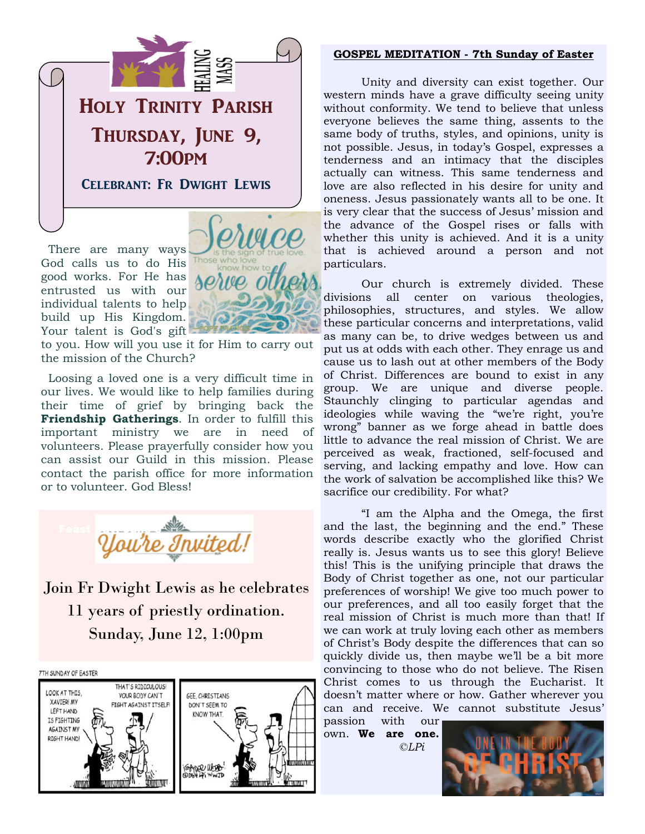

 There are many ways God calls us to do His good works. For He has entrusted us with our individual talents to help build up His Kingdom. Your talent is God's gift



to you. How will you use it for Him to carry out the mission of the Church?

 Loosing a loved one is a very difficult time in our lives. We would like to help families during their time of grief by bringing back the **Friendship Gatherings**. In order to fulfill this important ministry we are in need of volunteers. Please prayerfully consider how you can assist our Guild in this mission. Please contact the parish office for more information or to volunteer. God Bless!



Join Fr Dwight Lewis as he celebrates 11 years of priestly ordination. Sunday, June 12, 1:00pm



#### **GOSPEL MEDITATION - 7th Sunday of Easter**

 Unity and diversity can exist together. Our western minds have a grave difficulty seeing unity without conformity. We tend to believe that unless everyone believes the same thing, assents to the same body of truths, styles, and opinions, unity is not possible. Jesus, in today's Gospel, expresses a tenderness and an intimacy that the disciples actually can witness. This same tenderness and love are also reflected in his desire for unity and oneness. Jesus passionately wants all to be one. It is very clear that the success of Jesus' mission and the advance of the Gospel rises or falls with whether this unity is achieved. And it is a unity that is achieved around a person and not particulars.

 Our church is extremely divided. These divisions all center on various theologies, philosophies, structures, and styles. We allow these particular concerns and interpretations, valid as many can be, to drive wedges between us and put us at odds with each other. They enrage us and cause us to lash out at other members of the Body of Christ. Differences are bound to exist in any group. We are unique and diverse people. Staunchly clinging to particular agendas and ideologies while waving the "we're right, you're wrong" banner as we forge ahead in battle does little to advance the real mission of Christ. We are perceived as weak, fractioned, self-focused and serving, and lacking empathy and love. How can the work of salvation be accomplished like this? We sacrifice our credibility. For what?

 "I am the Alpha and the Omega, the first and the last, the beginning and the end." These words describe exactly who the glorified Christ really is. Jesus wants us to see this glory! Believe this! This is the unifying principle that draws the Body of Christ together as one, not our particular preferences of worship! We give too much power to our preferences, and all too easily forget that the real mission of Christ is much more than that! If we can work at truly loving each other as members of Christ's Body despite the differences that can so quickly divide us, then maybe we'll be a bit more convincing to those who do not believe. The Risen Christ comes to us through the Eucharist. It doesn't matter where or how. Gather wherever you can and receive. We cannot substitute Jesus'

passion with our own. **We are one.** *©LPi*